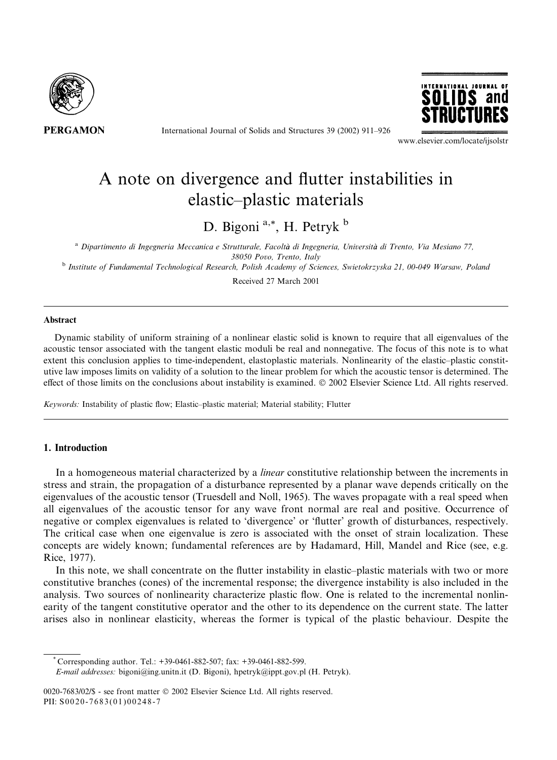

International Journal of Solids and Structures 39 (2002) 911–926



www.elsevier.com/locate/ijsolstr

# A note on divergence and flutter instabilities in elastic–plastic materials

D. Bigoni<sup>a,\*</sup>, H. Petryk <sup>b</sup>

<sup>a</sup> Dipartimento di Ingegneria Meccanica e Strutturale, Facolta di Ingegneria, Universita di Trento, Via Mesiano 77, 38050 Povo, Trento, Italy

<sup>b</sup> Institute of Fundamental Technological Research, Polish Academyof Sciences, Swietokrzyska 21, 00-049 Warsaw, Poland

Received 27March 2001

## Abstract

Dynamic stability of uniform straining of a nonlinear elastic solid is known to require that all eigenvalues of the acoustic tensor associated with the tangent elastic moduli be real and nonnegative. The focus of this note is to what extent this conclusion applies to time-independent, elastoplastic materials. Nonlinearity of the elastic–plastic constitutive law imposes limits on validity of a solution to the linear problem for which the acoustic tensor is determined. The effect of those limits on the conclusions about instability is examined. © 2002 Elsevier Science Ltd. All rights reserved.

Keywords: Instability of plastic flow; Elastic–plastic material; Material stability; Flutter

# 1. Introduction

In a homogeneous material characterized by a *linear* constitutive relationship between the increments in stress and strain, the propagation of a disturbance represented by a planar wave depends critically on the eigenvalues of the acoustic tensor (Truesdell and Noll, 1965). The waves propagate with a real speed when all eigenvalues of the acoustic tensor for any wave front normal are real and positive. Occurrence of negative or complex eigenvalues is related to 'divergence' or 'flutter' growth of disturbances, respectively. The critical case when one eigenvalue is zero is associated with the onset of strain localization. These concepts are widely known; fundamental references are by Hadamard, Hill, Mandel and Rice (see, e.g. Rice, 1977).

In this note, we shall concentrate on the flutter instability in elastic–plastic materials with two or more constitutive branches (cones) of the incremental response; the divergence instability is also included in the analysis. Two sources of nonlinearity characterize plastic flow. One is related to the incremental nonlinearity of the tangent constitutive operator and the other to its dependence on the current state. The latter arises also in nonlinear elasticity, whereas the former is typical of the plastic behaviour. Despite the

\* Corresponding author. Tel.: +39-0461-882-507; fax: +39-0461-882-599.

0020-7683/02/\$ - see front matter © 2002 Elsevier Science Ltd. All rights reserved. PII: S0020-7683(01)00248-7

E-mail addresses: bigoni@ing.unitn.it (D. Bigoni), hpetryk@ippt.gov.pl (H. Petryk).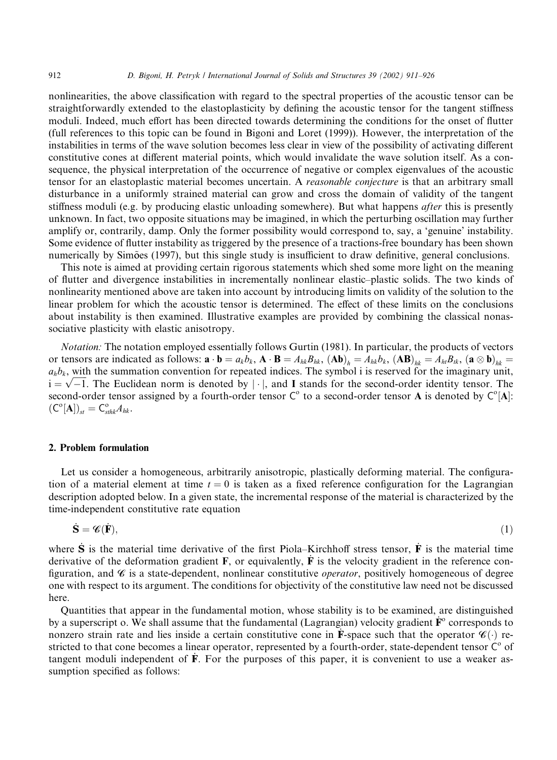nonlinearities, the above classification with regard to the spectral properties of the acoustic tensor can be straightforwardly extended to the elastoplasticity by defining the acoustic tensor for the tangent stiffness moduli. Indeed, much effort has been directed towards determining the conditions for the onset of flutter (full references to this topic can be found in Bigoni and Loret (1999)). However, the interpretation of the instabilities in terms of the wave solution becomes less clear in view of the possibility of activating different constitutive cones at different material points, which would invalidate the wave solution itself. As a consequence, the physical interpretation of the occurrence of negative or complex eigenvalues of the acoustic tensor for an elastoplastic material becomes uncertain. A reasonable conjecture is that an arbitrary small disturbance in a uniformly strained material can grow and cross the domain of validity of the tangent stiffness moduli (e.g. by producing elastic unloading somewhere). But what happens *after* this is presently unknown. In fact, two opposite situations may be imagined, in which the perturbing oscillation may further amplify or, contrarily, damp. Only the former possibility would correspond to, say, a 'genuine' instability. Some evidence of flutter instability as triggered by the presence of a tractions-free boundary has been shown numerically by Simões (1997), but this single study is insufficient to draw definitive, general conclusions.

This note is aimed at providing certain rigorous statements which shed some more light on the meaning of flutter and divergence instabilities in incrementally nonlinear elastic–plastic solids. The two kinds of nonlinearity mentioned above are taken into account by introducing limits on validity of the solution to the linear problem for which the acoustic tensor is determined. The effect of these limits on the conclusions about instability is then examined. Illustrative examples are provided by combining the classical nonassociative plasticity with elastic anisotropy.

Notation: The notation employed essentially follows Gurtin (1981). In particular, the products of vectors or tensors are indicated as follows:  $\mathbf{a} \cdot \mathbf{b} = a_k b_k$ ,  $\mathbf{A} \cdot \mathbf{B} = A_{hk} B_{hk}$ ,  $(\mathbf{A} \mathbf{b})_h = A_{hk} b_k$ ,  $(\mathbf{A} \mathbf{B})_{hk} = A_{hl} B_{lk}$ ,  $(\mathbf{a} \otimes \mathbf{b})_{hk} =$  $a_h b_k$ , with the summation convention for repeated indices. The symbol i is reserved for the imaginary unit,  $a_h b_k$ , with the summation convention for repeated indices. The symbol I is reserved for the imaginary unit,  $i = \sqrt{-1}$ . The Euclidean norm is denoted by | |, and I stands for the second-order identity tensor. The second-order tensor assigned by a fourth-order tensor  $C^{\circ}$  to a second-order tensor A is denoted by  $C^{\circ}[A]$ :  $\left(\mathsf{C}^{\mathsf{o}}[\mathbf{A}]\right)_{st} = \mathsf{C}^{\mathsf{o}}_{sthk}A_{hk}.$ 

# 2. Problem formulation

Let us consider a homogeneous, arbitrarily anisotropic, plastically deforming material. The configuration of a material element at time  $t = 0$  is taken as a fixed reference configuration for the Lagrangian description adopted below. In a given state, the incremental response of the material is characterized by the time-independent constitutive rate equation

$$
\dot{\mathbf{S}} = \mathscr{C}(\dot{\mathbf{F}}),\tag{1}
$$

where S is the material time derivative of the first Piola–Kirchhoff stress tensor,  $\bf{F}$  is the material time derivative of the deformation gradient F, or equivalently,  $\dot{F}$  is the velocity gradient in the reference configuration, and  $\mathscr C$  is a state-dependent, nonlinear constitutive *operator*, positively homogeneous of degree one with respect to its argument. The conditions for objectivity of the constitutive law need not be discussed here.

Quantities that appear in the fundamental motion, whose stability is to be examined, are distinguished by a superscript o. We shall assume that the fundamental (Lagrangian) velocity gradient  $\mathbf{F}^{\circ}$  corresponds to nonzero strain rate and lies inside a certain constitutive cone in **F**-space such that the operator  $C(\cdot)$  restricted to that cone becomes a linear operator, represented by a fourth-order, state-dependent tensor  $C^{\circ}$  of tangent moduli independent of  $\dot{F}$ . For the purposes of this paper, it is convenient to use a weaker assumption specified as follows: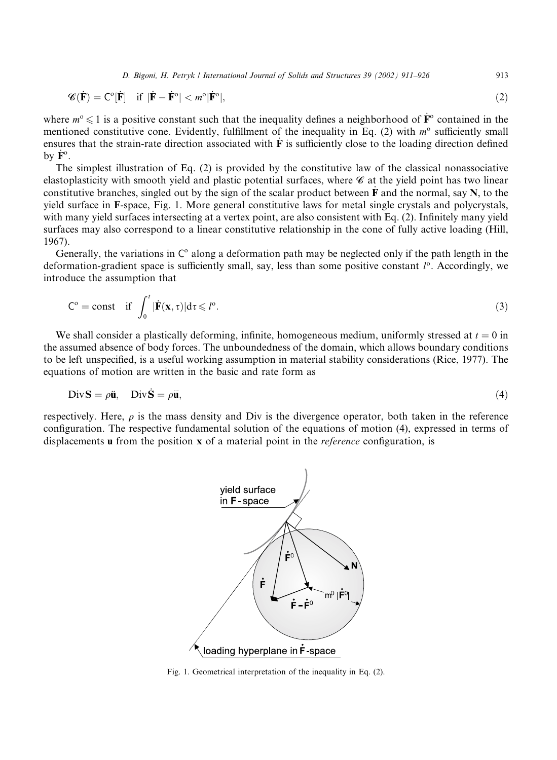D. Bigoni, H. Petryk / International Journal of Solids and Structures 39 (2002) 911–926 913

$$
\mathscr{C}(\dot{\mathbf{F}}) = \mathsf{C}^{\circ}[\dot{\mathbf{F}}] \quad \text{if } |\dot{\mathbf{F}} - \dot{\mathbf{F}}^{\circ}| < m^{\circ}|\dot{\mathbf{F}}^{\circ}|,\tag{2}
$$

where  $m^{\circ} \leq 1$  is a positive constant such that the inequality defines a neighborhood of  $\mathbf{F}^{\circ}$  contained in the mentioned constitutive cone. Evidently, fulfillment of the inequality in Eq. (2) with  $m<sup>o</sup>$  sufficiently small ensures that the strain-rate direction associated with  $\dot{F}$  is sufficiently close to the loading direction defined by  $\dot{\mathbf{F}}^{\circ}$ .

The simplest illustration of Eq. (2) is provided by the constitutive law of the classical nonassociative elastoplasticity with smooth yield and plastic potential surfaces, where  $\mathscr C$  at the yield point has two linear constitutive branches, singled out by the sign of the scalar product between  $\bf{F}$  and the normal, say N, to the yield surface in F-space, Fig. 1. More general constitutive laws for metal single crystals and polycrystals, with many yield surfaces intersecting at a vertex point, are also consistent with Eq. (2). Infinitely many yield surfaces may also correspond to a linear constitutive relationship in the cone of fully active loading (Hill, 1967).

Generally, the variations in  $C^{\circ}$  along a deformation path may be neglected only if the path length in the deformation-gradient space is sufficiently small, say, less than some positive constant  $l^{\circ}$ . Accordingly, we introduce the assumption that

$$
C^{\circ} = \text{const} \quad \text{if} \quad \int_{0}^{t} |\dot{\mathbf{F}}(\mathbf{x}, \tau)| d\tau \leqslant l^{\circ}.
$$

We shall consider a plastically deforming, infinite, homogeneous medium, uniformly stressed at  $t = 0$  in the assumed absence of body forces. The unboundedness of the domain, which allows boundary conditions to be left unspecified, is a useful working assumption in material stability considerations (Rice, 1977). The equations of motion are written in the basic and rate form as

$$
Div S = \rho \ddot{\mathbf{u}}, \quad Div \dot{S} = \rho \ddot{\mathbf{u}}, \tag{4}
$$

respectively. Here,  $\rho$  is the mass density and Div is the divergence operator, both taken in the reference configuration. The respective fundamental solution of the equations of motion (4), expressed in terms of displacements **u** from the position  $x$  of a material point in the *reference* configuration, is



Fig. 1. Geometrical interpretation of the inequality in Eq. (2).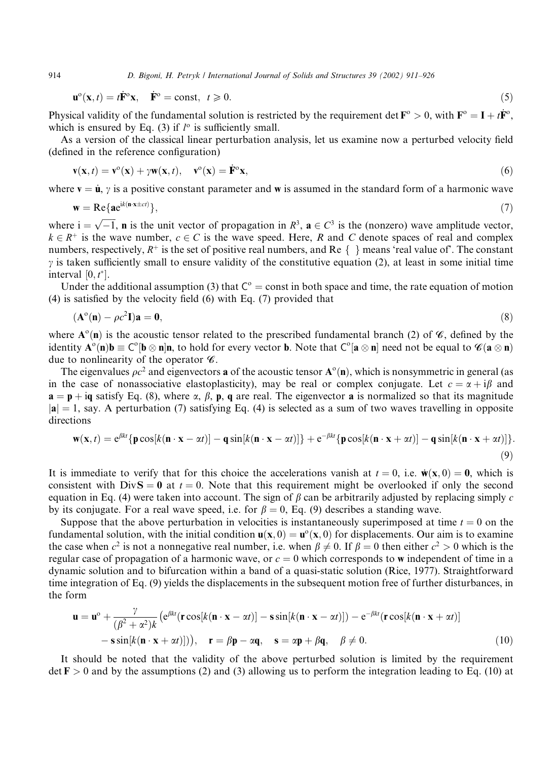914 D. Bigoni, H. Petryk / International Journal of Solids and Structures 39 (2002) 911–926

$$
\mathbf{u}^{\circ}(\mathbf{x},t) = t\dot{\mathbf{F}}^{\circ}\mathbf{x}, \quad \dot{\mathbf{F}}^{\circ} = \text{const}, \ t \geqslant 0. \tag{5}
$$

Physical validity of the fundamental solution is restricted by the requirement det  $\mathbf{F}^{\circ} > 0$ , with  $\mathbf{F}^{\circ} = \mathbf{I} + t\dot{\mathbf{F}}^{\circ}$ , which is ensured by Eq. (3) if  $l^{\circ}$  is sufficiently small.

As a version of the classical linear perturbation analysis, let us examine now a perturbed velocity field (defined in the reference configuration)

$$
\mathbf{v}(\mathbf{x},t) = \mathbf{v}^{\circ}(\mathbf{x}) + \gamma \mathbf{w}(\mathbf{x},t), \quad \mathbf{v}^{\circ}(\mathbf{x}) = \dot{\mathbf{F}}^{\circ}\mathbf{x},\tag{6}
$$

where  $\mathbf{v} = \dot{\mathbf{u}}, \gamma$  is a positive constant parameter and **w** is assumed in the standard form of a harmonic wave

$$
\mathbf{w} = \text{Re}\{\mathbf{a}e^{ik(\mathbf{n}\cdot\mathbf{x}\pm ct)}\},\tag{7}
$$

where  $i = \sqrt{-1}$ , **n** is the unit vector of propagation in  $R^3$ ,  $\mathbf{a} \in C^3$  is the (nonzero) wave amplitude vector,  $k \in \mathbb{R}^+$  is the wave number,  $c \in \mathbb{C}$  is the wave speed. Here, R and C denote spaces of real and complex numbers, respectively,  $R^+$  is the set of positive real numbers, and Re  $\{ \}$  means 'real value of'. The constant  $\gamma$  is taken sufficiently small to ensure validity of the constitutive equation (2), at least in some initial time interval  $[0, t^*]$ .

Under the additional assumption (3) that  $C^{\circ}$  = const in both space and time, the rate equation of motion (4) is satisfied by the velocity field (6) with Eq. (7) provided that

$$
(\mathbf{A}^{\circ}(\mathbf{n}) - \rho c^2 \mathbf{I})\mathbf{a} = \mathbf{0},\tag{8}
$$

where  $A^{\circ}(n)$  is the acoustic tensor related to the prescribed fundamental branch (2) of  $\mathscr{C}$ , defined by the identity  $\mathbf{A}^{\circ}(\mathbf{n})\mathbf{b} \equiv \mathbf{C}^{\circ}[\mathbf{b} \otimes \mathbf{n}]\mathbf{n}$ , to hold for every vector **b**. Note that  $\mathbf{C}^{\circ}[\mathbf{a} \otimes \mathbf{n}]$  need not be equal to  $\mathscr{C}(\mathbf{a} \otimes \mathbf{n})$ due to nonlinearity of the operator  $\mathscr C$ .

The eigenvalues  $\rho c^2$  and eigenvectors **a** of the acoustic tensor  $A^{\circ}(n)$ , which is nonsymmetric in general (as in the case of nonassociative elastoplasticity), may be real or complex conjugate. Let  $c = \alpha + i\beta$  and  $\mathbf{a} = \mathbf{p} + \mathbf{i}\mathbf{q}$  satisfy Eq. (8), where  $\alpha$ ,  $\beta$ ,  $\mathbf{p}$ ,  $\mathbf{q}$  are real. The eigenvector **a** is normalized so that its magnitude  $|\mathbf{a}| = 1$ , say. A perturbation (7) satisfying Eq. (4) is selected as a sum of two waves travelling in opposite directions

$$
\mathbf{w}(\mathbf{x},t) = e^{\beta kt} \{ \mathbf{p} \cos[k(\mathbf{n} \cdot \mathbf{x} - \alpha t)] - \mathbf{q} \sin[k(\mathbf{n} \cdot \mathbf{x} - \alpha t)] \} + e^{-\beta kt} \{ \mathbf{p} \cos[k(\mathbf{n} \cdot \mathbf{x} + \alpha t)] - \mathbf{q} \sin[k(\mathbf{n} \cdot \mathbf{x} + \alpha t)] \}.
$$
\n(9)

It is immediate to verify that for this choice the accelerations vanish at  $t = 0$ , i.e.  $\dot{\mathbf{w}}(\mathbf{x}, 0) = \mathbf{0}$ , which is consistent with  $DivS = 0$  at  $t = 0$ . Note that this requirement might be overlooked if only the second equation in Eq. (4) were taken into account. The sign of  $\beta$  can be arbitrarily adjusted by replacing simply c by its conjugate. For a real wave speed, i.e. for  $\beta = 0$ , Eq. (9) describes a standing wave.

Suppose that the above perturbation in velocities is instantaneously superimposed at time  $t = 0$  on the fundamental solution, with the initial condition  $u(x, 0) = u^{\circ}(x, 0)$  for displacements. Our aim is to examine the case when  $c^2$  is not a nonnegative real number, i.e. when  $\beta \neq 0$ . If  $\beta = 0$  then either  $c^2 > 0$  which is the regular case of propagation of a harmonic wave, or  $c = 0$  which corresponds to w independent of time in a dynamic solution and to bifurcation within a band of a quasi-static solution (Rice, 1977). Straightforward time integration of Eq. (9) yields the displacements in the subsequent motion free of further disturbances, in the form

$$
\mathbf{u} = \mathbf{u}^{\circ} + \frac{\gamma}{(\beta^2 + \alpha^2)k} \left( e^{\beta kt} (\mathbf{r} \cos[k(\mathbf{n} \cdot \mathbf{x} - \alpha t)] - \mathbf{s} \sin[k(\mathbf{n} \cdot \mathbf{x} - \alpha t)] \right) - e^{-\beta kt} (\mathbf{r} \cos[k(\mathbf{n} \cdot \mathbf{x} + \alpha t)] - \mathbf{s} \sin[k(\mathbf{n} \cdot \mathbf{x} + \alpha t)]]), \quad \mathbf{r} = \beta \mathbf{p} - \alpha \mathbf{q}, \quad \mathbf{s} = \alpha \mathbf{p} + \beta \mathbf{q}, \quad \beta \neq 0.
$$
 (10)

It should be noted that the validity of the above perturbed solution is limited by the requirement  $\det \mathbf{F} > 0$  and by the assumptions (2) and (3) allowing us to perform the integration leading to Eq. (10) at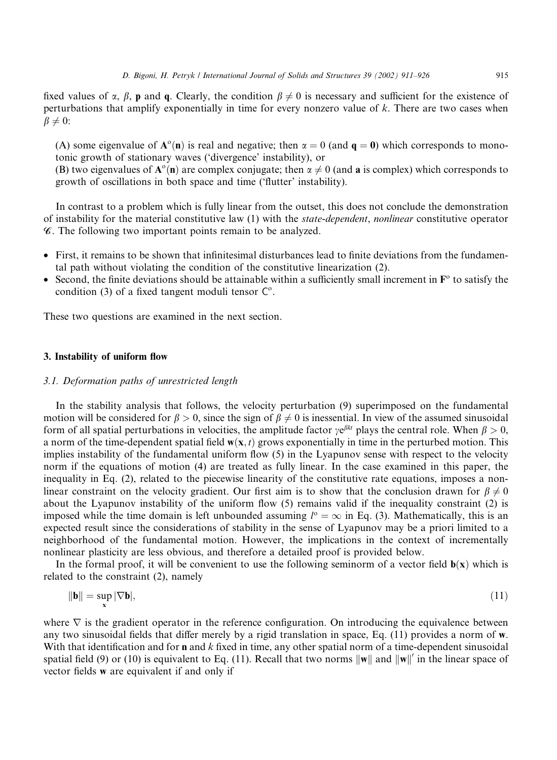fixed values of  $\alpha$ ,  $\beta$ , **p** and **q**. Clearly, the condition  $\beta \neq 0$  is necessary and sufficient for the existence of perturbations that amplify exponentially in time for every nonzero value of  $k$ . There are two cases when  $\beta \neq 0$ :

(A) some eigenvalue of  $A^{\circ}(n)$  is real and negative; then  $\alpha = 0$  (and  $q = 0$ ) which corresponds to monotonic growth of stationary waves ('divergence' instability), or

(B) two eigenvalues of  $\mathbf{A}^{\circ}(\mathbf{n})$  are complex conjugate; then  $\alpha \neq 0$  (and **a** is complex) which corresponds to growth of oscillations in both space and time ('flutter' instability).

In contrast to a problem which is fully linear from the outset, this does not conclude the demonstration of instability for the material constitutive law (1) with the state-dependent, nonlinear constitutive operator C. The following two important points remain to be analyzed.

- First, it remains to be shown that infinitesimal disturbances lead to finite deviations from the fundamental path without violating the condition of the constitutive linearization (2).
- Second, the finite deviations should be attainable within a sufficiently small increment in  $\mathbf{F}^{\circ}$  to satisfy the condition (3) of a fixed tangent moduli tensor  $C^{\circ}$ .

These two questions are examined in the next section.

# 3. Instability of uniform flow

# 3.1. Deformation paths of unrestricted length

In the stability analysis that follows, the velocity perturbation (9) superimposed on the fundamental motion will be considered for  $\beta > 0$ , since the sign of  $\beta \neq 0$  is inessential. In view of the assumed sinusoidal form of all spatial perturbations in velocities, the amplitude factor  $\gamma e^{\beta k t}$  plays the central role. When  $\beta > 0$ , a norm of the time-dependent spatial field  $w(x, t)$  grows exponentially in time in the perturbed motion. This implies instability of the fundamental uniform flow (5) in the Lyapunov sense with respect to the velocity norm if the equations of motion (4) are treated as fully linear. In the case examined in this paper, the inequality in Eq. (2), related to the piecewise linearity of the constitutive rate equations, imposes a nonlinear constraint on the velocity gradient. Our first aim is to show that the conclusion drawn for  $\beta \neq 0$ about the Lyapunov instability of the uniform flow (5) remains valid if the inequality constraint (2) is imposed while the time domain is left unbounded assuming  $l^{\circ} = \infty$  in Eq. (3). Mathematically, this is an expected result since the considerations of stability in the sense of Lyapunov may be a priori limited to a neighborhood of the fundamental motion. However, the implications in the context of incrementally nonlinear plasticity are less obvious, and therefore a detailed proof is provided below.

In the formal proof, it will be convenient to use the following seminorm of a vector field  $b(x)$  which is related to the constraint (2), namely

$$
\|\mathbf{b}\| = \sup_{\mathbf{x}} |\nabla \mathbf{b}|,\tag{11}
$$

where  $\nabla$  is the gradient operator in the reference configuration. On introducing the equivalence between any two sinusoidal fields that differ merely by a rigid translation in space, Eq. (11) provides a norm of w. With that identification and for **n** and k fixed in time, any other spatial norm of a time-dependent sinusoidal spatial field (9) or (10) is equivalent to Eq. (11). Recall that two norms  $\|\mathbf{w}\|$  and  $\|\mathbf{w}\|'$  in the linear space of vector fields w are equivalent if and only if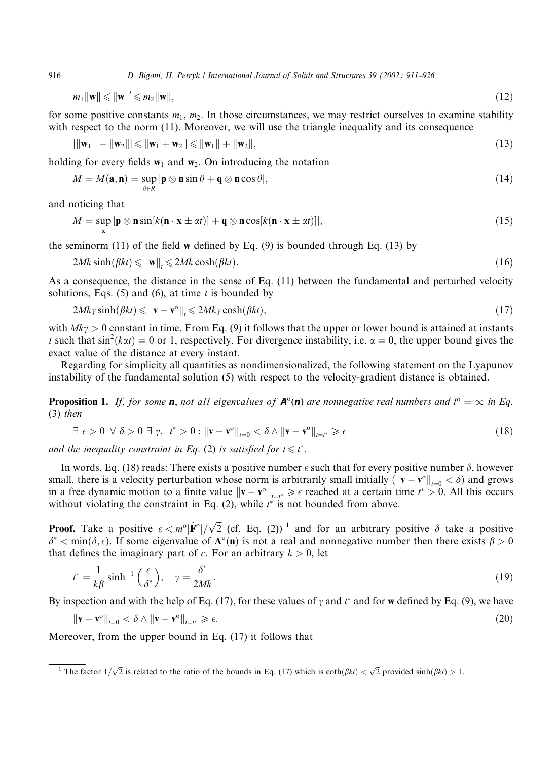916 D. Bigoni, H. Petryk / International Journal of Solids and Structures 39 (2002) 911–926

$$
m_1 \|\mathbf{w}\| \le \|\mathbf{w}\|' \le m_2 \|\mathbf{w}\|,\tag{12}
$$

for some positive constants  $m_1$ ,  $m_2$ . In those circumstances, we may restrict ourselves to examine stability with respect to the norm  $(11)$ . Moreover, we will use the triangle inequality and its consequence

$$
|\|\mathbf{w}_1\| - \|\mathbf{w}_2\|| \le \|\mathbf{w}_1 + \mathbf{w}_2\| \le \|\mathbf{w}_1\| + \|\mathbf{w}_2\|,\tag{13}
$$

holding for every fields  $w_1$  and  $w_2$ . On introducing the notation

$$
M = M(\mathbf{a}, \mathbf{n}) = \sup_{\theta \in \mathbb{R}} |\mathbf{p} \otimes \mathbf{n} \sin \theta + \mathbf{q} \otimes \mathbf{n} \cos \theta|,
$$
 (14)

and noticing that

$$
M = \sup_{\mathbf{x}} |\mathbf{p} \otimes \mathbf{n} \sin[k(\mathbf{n} \cdot \mathbf{x} \pm \alpha t)] + \mathbf{q} \otimes \mathbf{n} \cos[k(\mathbf{n} \cdot \mathbf{x} \pm \alpha t)]|,
$$
(15)

the seminorm  $(11)$  of the field w defined by Eq.  $(9)$  is bounded through Eq.  $(13)$  by

$$
2Mk\sinh(\beta kt) \le ||\mathbf{w}||_t \le 2Mk\cosh(\beta kt). \tag{16}
$$

As a consequence, the distance in the sense of Eq. (11) between the fundamental and perturbed velocity solutions, Eqs. (5) and (6), at time  $t$  is bounded by

$$
2Mk\gamma\sinh(\beta kt) \leqslant ||\mathbf{v} - \mathbf{v}^{\circ}||_{t} \leqslant 2Mk\gamma\cosh(\beta kt),\tag{17}
$$

with  $Mk\gamma > 0$  constant in time. From Eq. (9) it follows that the upper or lower bound is attained at instants t such that  $\sin^2(k\alpha t) = 0$  or 1, respectively. For divergence instability, i.e.  $\alpha = 0$ , the upper bound gives the exact value of the distance at every instant.

Regarding for simplicity all quantities as nondimensionalized, the following statement on the Lyapunov instability of the fundamental solution (5) with respect to the velocity-gradient distance is obtained.

**Proposition 1.** If, for some **n**, not all eigenvalues of  $A^{\circ}(n)$  are nonnegative real numbers and  $l^{\circ} = \infty$  in Eq. (3) then

$$
\exists \epsilon > 0 \ \forall \ \delta > 0 \ \exists \ \gamma, \ t^* > 0 : ||\mathbf{v} - \mathbf{v}^{\circ}||_{t=0} < \delta \wedge ||\mathbf{v} - \mathbf{v}^{\circ}||_{t=t^*} \geq \epsilon
$$
\n(18)

and the inequality constraint in Eq. (2) is satisfied for  $t \leq t^*$ .

In words, Eq. (18) reads: There exists a positive number  $\epsilon$  such that for every positive number  $\delta$ , however small, there is a velocity perturbation whose norm is arbitrarily small initially  $(\|\mathbf{v}-\mathbf{v}^{\circ}\|_{t=0} < \delta)$  and grows in a free dynamic motion to a finite value  $\|\mathbf{v} - \mathbf{v}^{\circ}\|_{t=t^*} \geq \epsilon$  reached at a certain time  $t^* > 0$ . All this occurs without violating the constraint in Eq.  $(2)$ , while  $t^*$  is not bounded from above.

**Proof.** Take a positive  $\epsilon < m^{\circ} |\dot{\mathbf{F}}^{\circ}| / \sqrt{2}$  (cf. Eq. (2)) <sup>1</sup> and for an arbitrary positive  $\delta$  take a positive  $\delta^*$  < min $(\delta, \epsilon)$ . If some eigenvalue of  $A^{\circ}(n)$  is not a real and nonnegative number then there exists  $\beta > 0$ that defines the imaginary part of c. For an arbitrary  $k > 0$ , let

$$
t^* = \frac{1}{k\beta} \sinh^{-1}\left(\frac{\epsilon}{\delta^*}\right), \quad \gamma = \frac{\delta^*}{2Mk}.
$$
\n(19)

By inspection and with the help of Eq. (17), for these values of  $\gamma$  and  $t^*$  and for w defined by Eq. (9), we have

$$
\|\mathbf{v} - \mathbf{v}^{\circ}\|_{t=0} < \delta \wedge \|\mathbf{v} - \mathbf{v}^{\circ}\|_{t=t^*} \geq \epsilon. \tag{20}
$$

Moreover, from the upper bound in Eq. (17) it follows that

<sup>&</sup>lt;sup>1</sup> The factor  $1/\sqrt{2}$  is related to the ratio of the bounds in Eq. (17) which is coth $(\beta kt) < \sqrt{2}$  provided sinh $(\beta kt) > 1$ .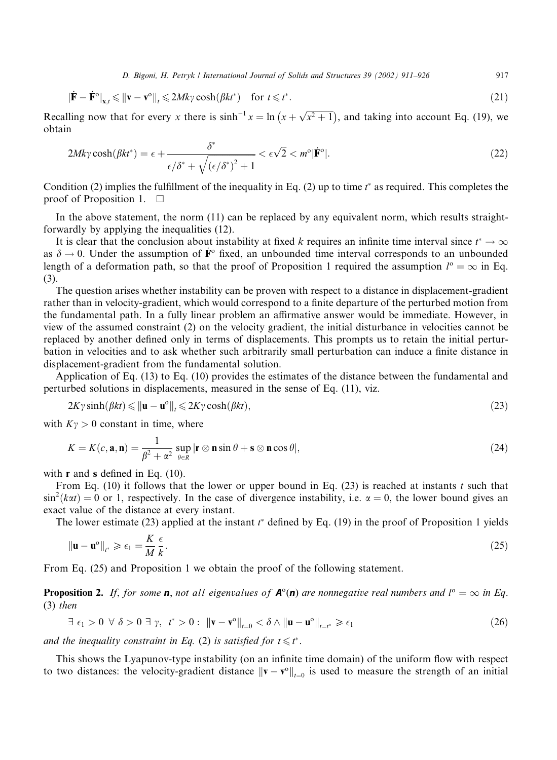$$
\|\dot{\mathbf{F}} - \dot{\mathbf{F}}^{\circ}\|_{\mathbf{x},t} \le \|\mathbf{v} - \mathbf{v}^{\circ}\|_{t} \le 2Mk\gamma\cosh(\beta kt^{*}) \quad \text{for } t \le t^{*}.
$$

Recalling now that for every x there is  $\sinh^{-1} x = \ln(x + \sqrt{x^2 + 1})$ , and taking into account Eq. (19), we obtain

$$
2Mk\gamma\cosh(\beta kt^*) = \epsilon + \frac{\delta^*}{\epsilon/\delta^* + \sqrt{(\epsilon/\delta^*)^2 + 1}} < \epsilon\sqrt{2} < m^{\circ}|\dot{\mathbf{F}}^{\circ}|. \tag{22}
$$

Condition (2) implies the fulfillment of the inequality in Eq. (2) up to time  $t^*$  as required. This completes the proof of Proposition 1.  $\Box$ 

In the above statement, the norm (11) can be replaced by any equivalent norm, which results straightforwardly by applying the inequalities (12).

It is clear that the conclusion about instability at fixed k requires an infinite time interval since  $t^* \to \infty$ as  $\delta \to 0$ . Under the assumption of  $\mathbf{F}^{\circ}$  fixed, an unbounded time interval corresponds to an unbounded length of a deformation path, so that the proof of Proposition 1 required the assumption  $l^{\circ} = \infty$  in Eq. (3).

The question arises whether instability can be proven with respect to a distance in displacement-gradient rather than in velocity-gradient, which would correspond to a finite departure of the perturbed motion from the fundamental path. In a fully linear problem an affirmative answer would be immediate. However, in view of the assumed constraint (2) on the velocity gradient, the initial disturbance in velocities cannot be replaced by another defined only in terms of displacements. This prompts us to retain the initial perturbation in velocities and to ask whether such arbitrarily small perturbation can induce a finite distance in displacement-gradient from the fundamental solution.

Application of Eq. (13) to Eq. (10) provides the estimates of the distance between the fundamental and perturbed solutions in displacements, measured in the sense of Eq. (11), viz.

$$
2K\gamma\sinh(\beta kt) \leq \|\mathbf{u} - \mathbf{u}^{\circ}\|_{t} \leq 2K\gamma\cosh(\beta kt),\tag{23}
$$

with  $K\gamma > 0$  constant in time, where

$$
K = K(c, \mathbf{a}, \mathbf{n}) = \frac{1}{\beta^2 + \alpha^2} \sup_{\theta \in R} |\mathbf{r} \otimes \mathbf{n} \sin \theta + \mathbf{s} \otimes \mathbf{n} \cos \theta|,
$$
 (24)

with **r** and **s** defined in Eq. (10).

From Eq. (10) it follows that the lower or upper bound in Eq. (23) is reached at instants t such that  $\sin^2(k\alpha t) = 0$  or 1, respectively. In the case of divergence instability, i.e.  $\alpha = 0$ , the lower bound gives an exact value of the distance at every instant.

The lower estimate (23) applied at the instant  $t^*$  defined by Eq. (19) in the proof of Proposition 1 yields

$$
\|\mathbf{u} - \mathbf{u}^{\circ}\|_{t^*} \geqslant \epsilon_1 = \frac{K}{M} \frac{\epsilon}{k}.
$$
\n<sup>(25)</sup>

From Eq. (25) and Proposition 1 we obtain the proof of the following statement.

**Proposition 2.** If, for some **n**, not all eigenvalues of  $A^{\circ}(n)$  are nonnegative real numbers and  $l^{\circ} = \infty$  in Eq. (3) then

$$
\exists \epsilon_1 > 0 \ \forall \ \delta > 0 \ \exists \ \gamma, \ t^* > 0 : \ \|\mathbf{v} - \mathbf{v}^{\circ}\|_{t=0} < \delta \wedge \|\mathbf{u} - \mathbf{u}^{\circ}\|_{t=t^*} \geqslant \epsilon_1 \tag{26}
$$

and the inequality constraint in Eq. (2) is satisfied for  $t \leq t^*$ .

This shows the Lyapunov-type instability (on an infinite time domain) of the uniform flow with respect to two distances: the velocity-gradient distance  $\|\mathbf{v} - \mathbf{v}^{\circ}\|_{t=0}$  is used to measure the strength of an initial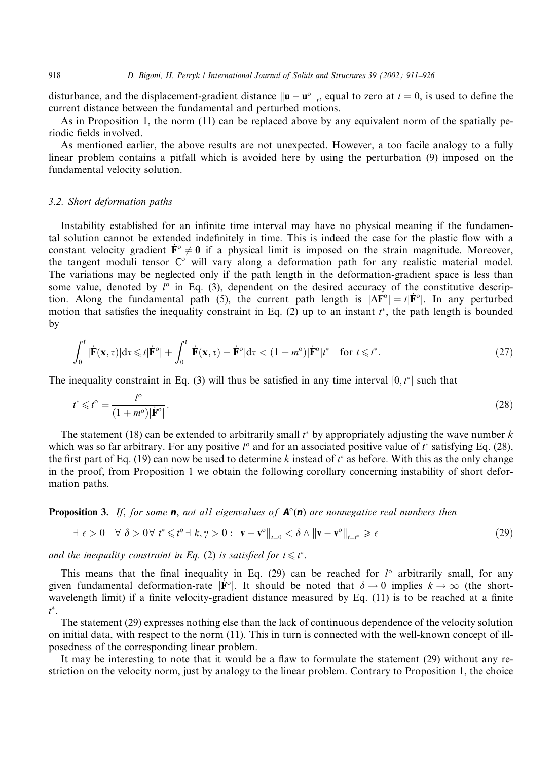disturbance, and the displacement-gradient distance  $\|\mathbf{u} - \mathbf{u}^{\circ}\|_{l}$ , equal to zero at  $t = 0$ , is used to define the current distance between the fundamental and perturbed motions.

As in Proposition 1, the norm (11) can be replaced above by any equivalent norm of the spatially periodic fields involved.

As mentioned earlier, the above results are not unexpected. However, a too facile analogy to a fully linear problem contains a pitfall which is avoided here by using the perturbation (9) imposed on the fundamental velocity solution.

# 3.2. Short deformation paths

Instability established for an infinite time interval may have no physical meaning if the fundamental solution cannot be extended indefinitely in time. This is indeed the case for the plastic flow with a constant velocity gradient  $\mathbf{F}^{\circ} \neq \mathbf{0}$  if a physical limit is imposed on the strain magnitude. Moreover, the tangent moduli tensor  $C^{\circ}$  will vary along a deformation path for any realistic material model. The variations may be neglected only if the path length in the deformation-gradient space is less than some value, denoted by  $l^{\circ}$  in Eq. (3), dependent on the desired accuracy of the constitutive description. Along the fundamental path (5), the current path length is  $|\Delta \mathbf{F}^{\circ}| = t|\dot{\mathbf{F}}^{\circ}|$ . In any perturbed motion that satisfies the inequality constraint in Eq.  $(2)$  up to an instant  $t^*$ , the path length is bounded by

$$
\int_0^t |\dot{\mathbf{F}}(\mathbf{x}, \tau)| d\tau \leqslant t |\dot{\mathbf{F}}^{\circ}| + \int_0^t |\dot{\mathbf{F}}(\mathbf{x}, \tau) - \dot{\mathbf{F}}^{\circ}| d\tau < (1 + m^{\circ}) |\dot{\mathbf{F}}^{\circ}| t^* \quad \text{for } t \leqslant t^*.
$$
 (27)

The inequality constraint in Eq. (3) will thus be satisfied in any time interval  $[0, t^*]$  such that

$$
t^* \leqslant t^{\circ} = \frac{l^{\circ}}{(1+m^{\circ})|\dot{\mathbf{F}}^{\circ}|}. \tag{28}
$$

The statement (18) can be extended to arbitrarily small  $t^*$  by appropriately adjusting the wave number  $k$ which was so far arbitrary. For any positive  $l^{\circ}$  and for an associated positive value of  $t^*$  satisfying Eq. (28), the first part of Eq. (19) can now be used to determine k instead of  $t^*$  as before. With this as the only change in the proof, from Proposition 1 we obtain the following corollary concerning instability of short deformation paths.

**Proposition 3.** If, for some **n**, not all eigenvalues of  $A^{\circ}(n)$  are nonnegative real numbers then

$$
\exists \epsilon > 0 \quad \forall \delta > 0 \forall t^* \leq t^{\circ} \exists k, \gamma > 0 : ||\mathbf{v} - \mathbf{v}^{\circ}||_{t=0} < \delta \wedge ||\mathbf{v} - \mathbf{v}^{\circ}||_{t=t^*} \geq \epsilon
$$
\n(29)

and the inequality constraint in Eq. (2) is satisfied for  $t \leq t^*$ .

This means that the final inequality in Eq. (29) can be reached for  $l^{\circ}$  arbitrarily small, for any given fundamental deformation-rate  $|\dot{F}^{\circ}|$ . It should be noted that  $\delta \to 0$  implies  $k \to \infty$  (the shortwavelength limit) if a finite velocity-gradient distance measured by Eq. (11) is to be reached at a finite  $t^*$ .

The statement (29) expresses nothing else than the lack of continuous dependence of the velocity solution on initial data, with respect to the norm (11). This in turn is connected with the well-known concept of illposedness of the corresponding linear problem.

It may be interesting to note that it would be a flaw to formulate the statement (29) without any restriction on the velocity norm, just by analogy to the linear problem. Contrary to Proposition 1, the choice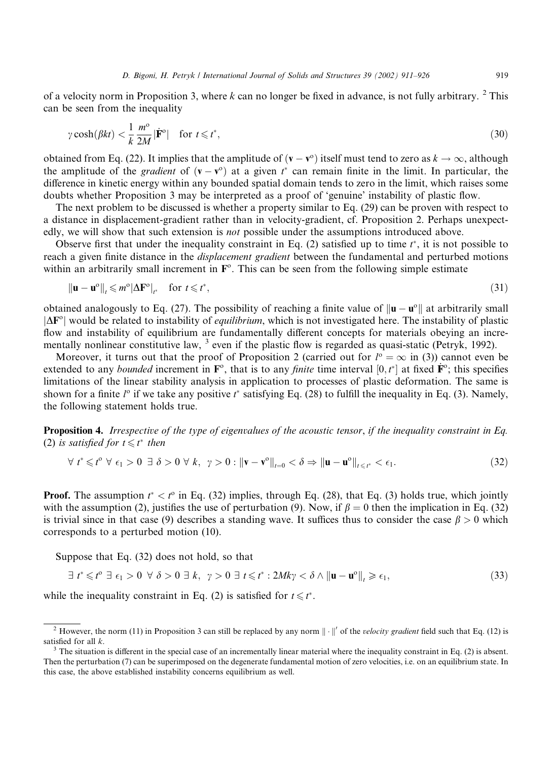of a velocity norm in Proposition 3, where k can no longer be fixed in advance, is not fully arbitrary. <sup>2</sup> This can be seen from the inequality

$$
\gamma \cosh(\beta kt) < \frac{1}{k} \frac{m^{\circ}}{2M} |\dot{\mathbf{F}}^{\circ}| \quad \text{for } t \leq t^*,\tag{30}
$$

obtained from Eq. (22). It implies that the amplitude of  $(v - v^{\circ})$  itself must tend to zero as  $k \to \infty$ , although the amplitude of the gradient of  $(v - v^{\circ})$  at a given  $t^*$  can remain finite in the limit. In particular, the difference in kinetic energy within any bounded spatial domain tends to zero in the limit, which raises some doubts whether Proposition 3 may be interpreted as a proof of 'genuine' instability of plastic flow.

The next problem to be discussed is whether a property similar to Eq. (29) can be proven with respect to a distance in displacement-gradient rather than in velocity-gradient, cf. Proposition 2. Perhaps unexpectedly, we will show that such extension is *not* possible under the assumptions introduced above.

Observe first that under the inequality constraint in Eq.  $(2)$  satisfied up to time  $t^*$ , it is not possible to reach a given finite distance in the *displacement gradient* between the fundamental and perturbed motions within an arbitrarily small increment in  $\mathbf{F}^{\circ}$ . This can be seen from the following simple estimate

$$
\|\mathbf{u} - \mathbf{u}^{\circ}\|_{t} \leqslant m^{\circ} |\Delta \mathbf{F}^{\circ}|_{t^{*}} \quad \text{for } t \leqslant t^{*},
$$
\n<sup>(31)</sup>

obtained analogously to Eq. (27). The possibility of reaching a finite value of  $\|\mathbf{u} - \mathbf{u}^{\circ}\|$  at arbitrarily small  $|\Delta F^{\circ}|$  would be related to instability of *equilibrium*, which is not investigated here. The instability of plastic flow and instability of equilibrium are fundamentally different concepts for materials obeying an incrementally nonlinear constitutive law, <sup>3</sup> even if the plastic flow is regarded as quasi-static (Petryk, 1992).

Moreover, it turns out that the proof of Proposition 2 (carried out for  $l^{\circ} = \infty$  in (3)) cannot even be extended to any *bounded* increment in  $\mathbf{F}^\circ$ , that is to any *finite* time interval  $[0, t^*]$  at fixed  $\dot{\mathbf{F}}^\circ$ ; this specifies limitations of the linear stability analysis in application to processes of plastic deformation. The same is shown for a finite  $l^{\circ}$  if we take any positive  $t^*$  satisfying Eq. (28) to fulfill the inequality in Eq. (3). Namely, the following statement holds true.

Proposition 4. Irrespective of the type of eigenvalues of the acoustic tensor, if the inequality constraint in Eq. (2) is satisfied for  $t \leq t^*$  then

$$
\forall t^* \leq t^{\circ} \forall \epsilon_1 > 0 \exists \delta > 0 \forall k, \gamma > 0 : ||\mathbf{v} - \mathbf{v}^{\circ}||_{t=0} < \delta \Rightarrow ||\mathbf{u} - \mathbf{u}^{\circ}||_{t \leq t^*} < \epsilon_1.
$$
 (32)

**Proof.** The assumption  $t^* < t^{\circ}$  in Eq. (32) implies, through Eq. (28), that Eq. (3) holds true, which jointly with the assumption (2), justifies the use of perturbation (9). Now, if  $\beta = 0$  then the implication in Eq. (32) is trivial since in that case (9) describes a standing wave. It suffices thus to consider the case  $\beta > 0$  which corresponds to a perturbed motion (10).

Suppose that Eq. (32) does not hold, so that

$$
\exists t^* \leq t^{\circ} \exists \epsilon_1 > 0 \ \forall \ \delta > 0 \ \exists k, \ \gamma > 0 \ \exists t \leq t^* : 2Mk\gamma < \delta \land ||\mathbf{u} - \mathbf{u}^{\circ}||_t \geq \epsilon_1,
$$
\n(33)

while the inequality constraint in Eq. (2) is satisfied for  $t \leq t^*$ .

<sup>&</sup>lt;sup>2</sup> However, the norm (11) in Proposition 3 can still be replaced by any norm  $\|\cdot\|'$  of the *velocity gradient* field such that Eq. (12) is satisfied for all k.<br><sup>3</sup> The situation is different in the special case of an incrementally linear material where the inequality constraint in Eq. (2) is absent.

Then the perturbation (7) can be superimposed on the degenerate fundamental motion of zero velocities, i.e. on an equilibrium state. In this case, the above established instability concerns equilibrium as well.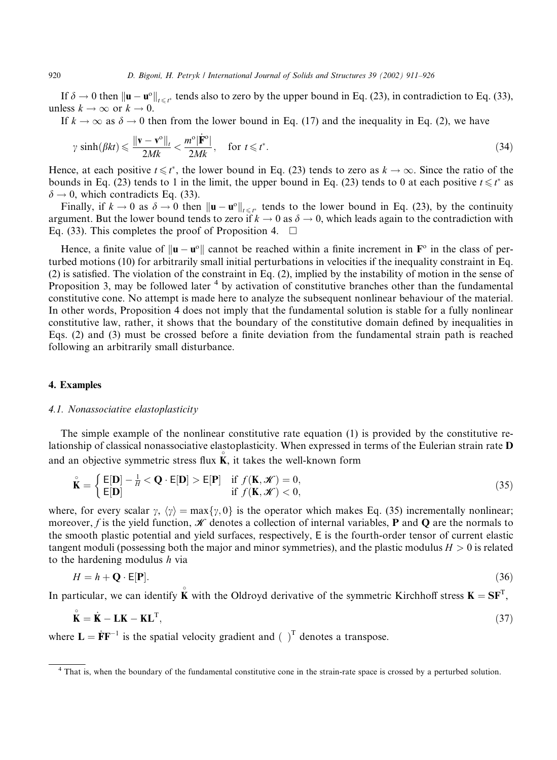If  $\delta \to 0$  then  $\|\mathbf{u} - \mathbf{u}^{\circ}\|_{\epsilon \leq t^*}$  tends also to zero by the upper bound in Eq. (23), in contradiction to Eq. (33), unless  $k \to \infty$  or  $k \to 0$ .

If  $k \to \infty$  as  $\delta \to 0$  then from the lower bound in Eq. (17) and the inequality in Eq. (2), we have

$$
\gamma \sinh(\beta kt) \leq \frac{\|\mathbf{v} - \mathbf{v}^{\circ}\|_{t}}{2Mk} < \frac{m^{\circ}|\dot{\mathbf{F}}^{\circ}|}{2Mk}, \quad \text{for } t \leq t^{*}.
$$
\n(34)

Hence, at each positive  $t \leq t^*$ , the lower bound in Eq. (23) tends to zero as  $k \to \infty$ . Since the ratio of the bounds in Eq. (23) tends to 1 in the limit, the upper bound in Eq. (23) tends to 0 at each positive  $t \leq t^*$  as  $\delta \rightarrow 0$ , which contradicts Eq. (33).

Finally, if  $k \to 0$  as  $\delta \to 0$  then  $\|\mathbf{u} - \mathbf{u}^0\|_{l \leq r^*}$  tends to the lower bound in Eq. (23), by the continuity argument. But the lower bound tends to zero if  $k \to 0$  as  $\delta \to 0$ , which leads again to the contradiction with Eq. (33). This completes the proof of Proposition 4.  $\Box$ 

Hence, a finite value of  $\|\mathbf{u} - \mathbf{u}^{\circ}\|$  cannot be reached within a finite increment in  $\mathbf{F}^{\circ}$  in the class of perturbed motions (10) for arbitrarily small initial perturbations in velocities if the inequality constraint in Eq. (2) is satisfied. The violation of the constraint in Eq. (2), implied by the instability of motion in the sense of Proposition 3, may be followed later  $4$  by activation of constitutive branches other than the fundamental constitutive cone. No attempt is made here to analyze the subsequent nonlinear behaviour of the material. In other words, Proposition 4 does not imply that the fundamental solution is stable for a fully nonlinear constitutive law, rather, it shows that the boundary of the constitutive domain defined by inequalities in Eqs. (2) and (3) must be crossed before a finite deviation from the fundamental strain path is reached following an arbitrarily small disturbance.

# 4. Examples

#### 4.1. Nonassociative elastoplasticity

The simple example of the nonlinear constitutive rate equation (1) is provided by the constitutive relationship of classical nonassociative elastoplasticity. When expressed in terms of the Eulerian strain rate D and an objective symmetric stress flux  $\vec{\bf{k}}$ , it takes the well-known form

$$
\mathbf{\hat{K}} = \begin{cases} \mathsf{E}[\mathbf{D}] - \frac{1}{H} < \mathbf{Q} \cdot \mathsf{E}[\mathbf{D}] > \mathsf{E}[\mathbf{P}] & \text{if } f(\mathbf{K}, \mathcal{K}) = 0, \\ \mathsf{E}[\mathbf{D}] & \text{if } f(\mathbf{K}, \mathcal{K}) < 0, \end{cases} \tag{35}
$$

where, for every scalar  $\gamma$ ,  $\langle \gamma \rangle = \max{\lbrace \gamma, 0 \rbrace}$  is the operator which makes Eq. (35) incrementally nonlinear; moreover, f is the yield function,  $\mathcal K$  denotes a collection of internal variables, **P** and **O** are the normals to the smooth plastic potential and yield surfaces, respectively, E is the fourth-order tensor of current elastic tangent moduli (possessing both the major and minor symmetries), and the plastic modulus  $H > 0$  is related to the hardening modulus  $h$  via

$$
H = h + \mathbf{Q} \cdot \mathbf{E}[\mathbf{P}]. \tag{36}
$$

In particular, we can identify  $\mathbf{\hat{K}}$  with the Oldroyd derivative of the symmetric Kirchhoff stress  $\mathbf{K} = \mathbf{S} \mathbf{F}^T$ ,

$$
\mathbf{\hat{K}} = \mathbf{\dot{K}} - \mathbf{LK} - \mathbf{KL}^{\mathrm{T}},\tag{37}
$$

where  $\mathbf{L} = \dot{\mathbf{F}} \mathbf{F}^{-1}$  is the spatial velocity gradient and  $\begin{pmatrix} 0 & 0 \end{pmatrix}^T$  denotes a transpose.

<sup>&</sup>lt;sup>4</sup> That is, when the boundary of the fundamental constitutive cone in the strain-rate space is crossed by a perturbed solution.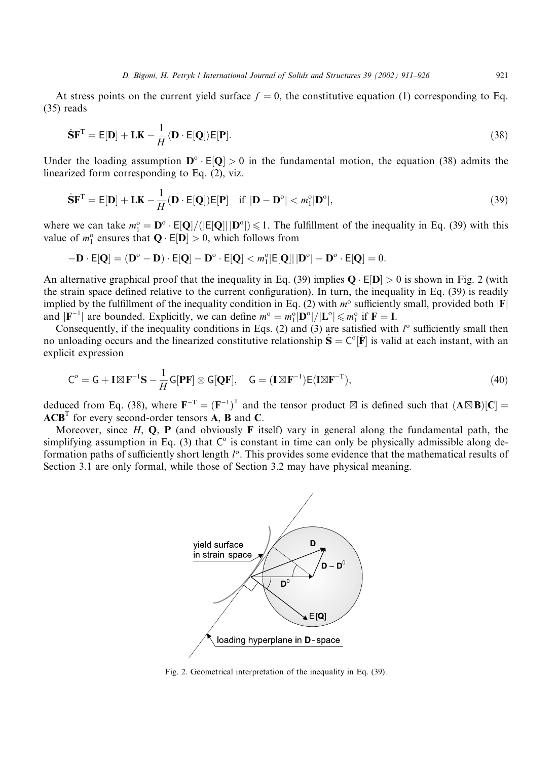At stress points on the current yield surface  $f = 0$ , the constitutive equation (1) corresponding to Eq. (35) reads

$$
\dot{\mathbf{S}}\mathbf{F}^{\mathrm{T}} = \mathsf{E}[\mathbf{D}] + \mathbf{L}\mathbf{K} - \frac{1}{H} \langle \mathbf{D} \cdot \mathsf{E}[\mathbf{Q}] \rangle \mathsf{E}[\mathbf{P}]. \tag{38}
$$

Under the loading assumption  $D^{\circ} \cdot E[Q] > 0$  in the fundamental motion, the equation (38) admits the linearized form corresponding to Eq. (2), viz.

$$
\dot{\mathbf{S}}\mathbf{F}^{\mathrm{T}} = \mathsf{E}[\mathbf{D}] + \mathbf{L}\mathbf{K} - \frac{1}{H}(\mathbf{D} \cdot \mathsf{E}[\mathbf{Q}])\mathsf{E}[\mathbf{P}] \quad \text{if } |\mathbf{D} - \mathbf{D}^{\circ}| < m_1^{\circ}|\mathbf{D}^{\circ}|,\tag{39}
$$

where we can take  $m_1^{\circ} = \mathbf{D}^{\circ} \cdot E[\mathbf{Q}]/(|E[\mathbf{Q}]||\mathbf{D}^{\circ}|) \leq 1$ . The fulfillment of the inequality in Eq. (39) with this value of  $m_1^{\circ}$  ensures that  $\mathbf{Q} \cdot \mathsf{E}[\mathbf{D}] > 0$ , which follows from

$$
-\mathbf{D}\cdot\mathsf{E}[\mathbf{Q}] = (\mathbf{D}^{\mathrm{o}}-\mathbf{D})\cdot\mathsf{E}[\mathbf{Q}]-\mathbf{D}^{\mathrm{o}}\cdot\mathsf{E}[\mathbf{Q}] < m_1^{\mathrm{o}}|\mathsf{E}[\mathbf{Q}]||\mathbf{D}^{\mathrm{o}}|-\mathbf{D}^{\mathrm{o}}\cdot\mathsf{E}[\mathbf{Q}]=0.
$$

An alternative graphical proof that the inequality in Eq. (39) implies  $\mathbf{Q} \cdot \mathbf{E}[\mathbf{D}] > 0$  is shown in Fig. 2 (with the strain space defined relative to the current configuration). In turn, the inequality in Eq. (39) is readily implied by the fulfillment of the inequality condition in Eq. (2) with  $m^{\circ}$  sufficiently small, provided both  $|F|$ and  $|\mathbf{F}^{-1}|$  are bounded. Explicitly, we can define  $m^{\circ} = m_1^{\circ} |\mathbf{D}^{\circ}| / |\mathbf{L}^{\circ}| \leq m_1^{\circ}$  if  $\mathbf{F} = \mathbf{I}$ .

Consequently, if the inequality conditions in Eqs. (2) and (3) are satisfied with  $l^{\circ}$  sufficiently small then no unloading occurs and the linearized constitutive relationship  $\dot{S} = C^{\circ}[\dot{F}]$  is valid at each instant, with an explicit expression

$$
\mathsf{C}^{\circ} = \mathsf{G} + \mathbf{I} \boxtimes \mathbf{F}^{-1} \mathbf{S} - \frac{1}{H} \mathsf{G}[\mathbf{P} \mathbf{F}] \otimes \mathsf{G}[\mathbf{Q} \mathbf{F}], \quad \mathsf{G} = (\mathbf{I} \boxtimes \mathbf{F}^{-1}) \mathsf{E}(\mathbf{I} \boxtimes \mathbf{F}^{-T}), \tag{40}
$$

deduced from Eq. (38), where  $F^{-T} = (F^{-1})^T$  and the tensor product  $\boxtimes$  is defined such that  $(A \boxtimes B)[C] =$  $\mathbf{ACB}^T$  for every second-order tensors A, B and C.

Moreover, since H, Q, P (and obviously F itself) vary in general along the fundamental path, the simplifying assumption in Eq. (3) that  $C<sup>o</sup>$  is constant in time can only be physically admissible along deformation paths of sufficiently short length  $l^{\circ}$ . This provides some evidence that the mathematical results of Section 3.1 are only formal, while those of Section 3.2 may have physical meaning.



Fig. 2. Geometrical interpretation of the inequality in Eq. (39).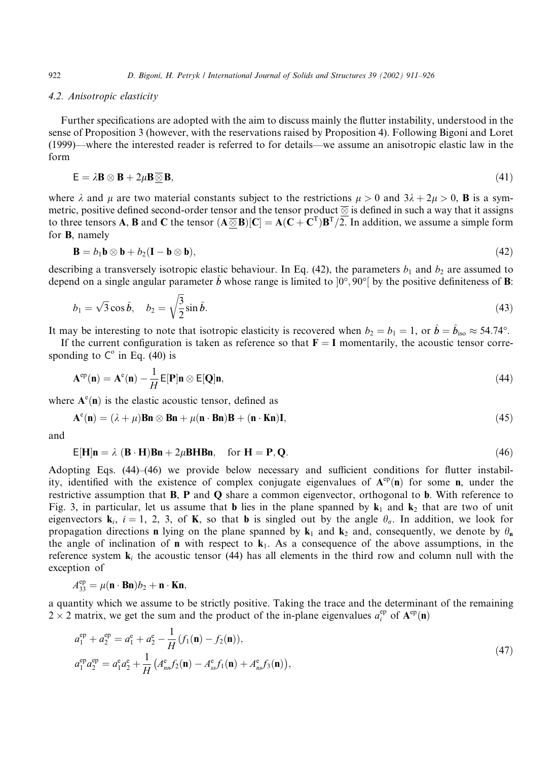922 D. Bigoni, H. Petryk / International Journal of Solids and Structures 39 (2002) 911–926

# 4.2. Anisotropic elasticity

Further specifications are adopted with the aim to discuss mainly the flutter instability, understood in the sense of Proposition 3 (however, with the reservations raised by Proposition 4). Following Bigoni and Loret (1999)––where the interested reader is referred to for details––we assume an anisotropic elastic law in the form

$$
\mathsf{E} = \lambda \mathbf{B} \otimes \mathbf{B} + 2\mu \mathbf{B} \overline{\otimes} \mathbf{B},\tag{41}
$$

where  $\lambda$  and  $\mu$  are two material constants subject to the restrictions  $\mu > 0$  and  $3\lambda + 2\mu > 0$ , **B** is a symmetric, positive defined second-order tensor and the tensor product  $\overline{\otimes}$  is defined in such a way that it assigns to three tensors **A**, **B** and **C** the tensor  $(A \overline{\otimes} B)[C] = A(C + C^{T})B^{T}/2$ . In addition, we assume a simple form for B, namely

$$
\mathbf{B} = b_1 \mathbf{b} \otimes \mathbf{b} + b_2 (\mathbf{I} - \mathbf{b} \otimes \mathbf{b}), \tag{42}
$$

describing a transversely isotropic elastic behaviour. In Eq. (42), the parameters  $b_1$  and  $b_2$  are assumed to depend on a single angular parameter  $\hat{b}$  whose range is limited to  $]0^\circ$ ,  $90^\circ[$  by the positive definiteness of **B**:

$$
b_1 = \sqrt{3}\cos\hat{b}, \quad b_2 = \sqrt{\frac{3}{2}}\sin\hat{b}.\tag{43}
$$

It may be interesting to note that isotropic elasticity is recovered when  $b_2 = b_1 = 1$ , or  $\hat{b} = \hat{b}_{\text{iso}} \approx 54.74^{\circ}$ .

If the current configuration is taken as reference so that  $\mathbf{F} = \mathbf{I}$  momentarily, the acoustic tensor corresponding to  $C^{\circ}$  in Eq. (40) is

$$
\mathbf{A}^{\text{ep}}(\mathbf{n}) = \mathbf{A}^{\text{e}}(\mathbf{n}) - \frac{1}{H} \mathsf{E}[\mathbf{P}] \mathbf{n} \otimes \mathsf{E}[\mathbf{Q}] \mathbf{n},\tag{44}
$$

where  $A^e(n)$  is the elastic acoustic tensor, defined as

$$
\mathbf{A}^{\mathbf{c}}(\mathbf{n}) = (\lambda + \mu)\mathbf{B}\mathbf{n} \otimes \mathbf{B}\mathbf{n} + \mu(\mathbf{n} \cdot \mathbf{B}\mathbf{n})\mathbf{B} + (\mathbf{n} \cdot \mathbf{K}\mathbf{n})\mathbf{I},\tag{45}
$$

and

$$
E[H]n = \lambda (B \cdot H)Bn + 2\mu BHBn, \quad \text{for } H = P, Q. \tag{46}
$$

Adopting Eqs. (44)–(46) we provide below necessary and sufficient conditions for flutter instability, identified with the existence of complex conjugate eigenvalues of  $A^{cp}(n)$  for some n, under the restrictive assumption that B, P and Q share a common eigenvector, orthogonal to b. With reference to Fig. 3, in particular, let us assume that **b** lies in the plane spanned by  $\mathbf{k}_1$  and  $\mathbf{k}_2$  that are two of unit eigenvectors  $\mathbf{k}_i$ ,  $i = 1, 2, 3$ , of **K**, so that **b** is singled out by the angle  $\theta_{\sigma}$ . In addition, we look for propagation directions **n** lying on the plane spanned by  $\mathbf{k}_1$  and  $\mathbf{k}_2$  and, consequently, we denote by  $\theta_n$ the angle of inclination of **n** with respect to  $\mathbf{k}_1$ . As a consequence of the above assumptions, in the reference system  $k_i$ , the acoustic tensor (44) has all elements in the third row and column null with the exception of

$$
A_{33}^{\rm ep} = \mu(\mathbf{n} \cdot \mathbf{Bn})b_2 + \mathbf{n} \cdot \mathbf{Kn},
$$

a quantity which we assume to be strictly positive. Taking the trace and the determinant of the remaining  $2 \times 2$  matrix, we get the sum and the product of the in-plane eigenvalues  $a_i^{\text{ep}}$  of  $\mathbf{A}^{\text{ep}}(\mathbf{n})$ 

$$
a_1^{\rm ep} + a_2^{\rm ep} = a_1^{\rm e} + a_2^{\rm e} - \frac{1}{H} (f_1(\mathbf{n}) - f_2(\mathbf{n})),
$$
  
\n
$$
a_1^{\rm ep} a_2^{\rm ep} = a_1^{\rm e} a_2^{\rm e} + \frac{1}{H} (A_{nn}^{\rm e} f_2(\mathbf{n}) - A_{ss}^{\rm e} f_1(\mathbf{n}) + A_{ns}^{\rm e} f_3(\mathbf{n})),
$$
\n(47)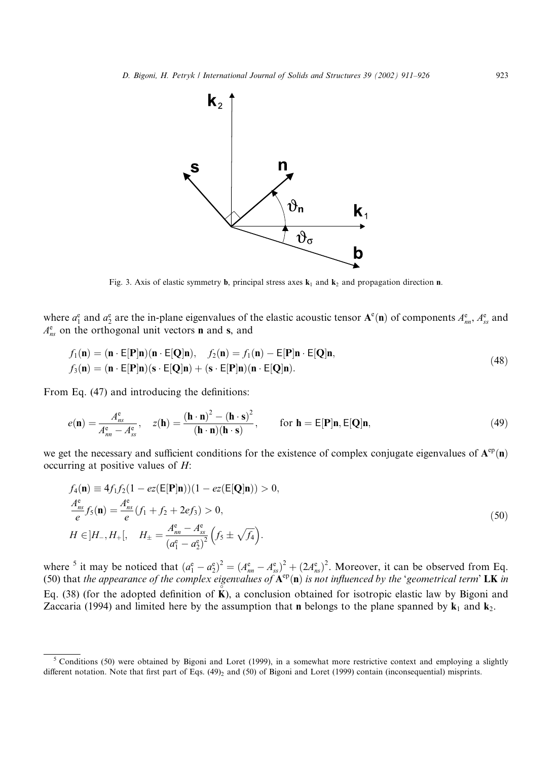

Fig. 3. Axis of elastic symmetry **b**, principal stress axes  $\mathbf{k}_1$  and  $\mathbf{k}_2$  and propagation direction **n**.

where  $a_1^e$  and  $a_2^e$  are the in-plane eigenvalues of the elastic acoustic tensor  $\mathbf{A}^e(\mathbf{n})$  of components  $A_m^e$ ,  $A_{ss}^e$  and  $A_{ns}^e$  on the orthogonal unit vectors **n** and **s**, and

$$
f_1(\mathbf{n}) = (\mathbf{n} \cdot \mathbf{E}[\mathbf{P}]\mathbf{n})(\mathbf{n} \cdot \mathbf{E}[\mathbf{Q}]\mathbf{n}), \quad f_2(\mathbf{n}) = f_1(\mathbf{n}) - \mathbf{E}[\mathbf{P}]\mathbf{n} \cdot \mathbf{E}[\mathbf{Q}]\mathbf{n}, f_3(\mathbf{n}) = (\mathbf{n} \cdot \mathbf{E}[\mathbf{P}]\mathbf{n})(\mathbf{s} \cdot \mathbf{E}[\mathbf{Q}]\mathbf{n}) + (\mathbf{s} \cdot \mathbf{E}[\mathbf{P}]\mathbf{n})(\mathbf{n} \cdot \mathbf{E}[\mathbf{Q}]\mathbf{n}).
$$
\n(48)

From Eq. (47) and introducing the definitions:

$$
e(\mathbf{n}) = \frac{A_{ns}^{\mathbf{e}}}{A_{nn}^{\mathbf{e}} - A_{ss}^{\mathbf{e}}}, \quad z(\mathbf{h}) = \frac{(\mathbf{h} \cdot \mathbf{n})^2 - (\mathbf{h} \cdot \mathbf{s})^2}{(\mathbf{h} \cdot \mathbf{n})(\mathbf{h} \cdot \mathbf{s})}, \qquad \text{for } \mathbf{h} = \mathsf{E}[\mathbf{P}]\mathbf{n}, \mathsf{E}[\mathbf{Q}]\mathbf{n}, \tag{49}
$$

we get the necessary and sufficient conditions for the existence of complex conjugate eigenvalues of  $A^{ep}(n)$ occurring at positive values of H:

$$
f_4(\mathbf{n}) \equiv 4f_1 f_2 (1 - ez(\mathbf{E}[\mathbf{P}]\mathbf{n})) (1 - ez(\mathbf{E}[\mathbf{Q}]\mathbf{n})) > 0,
$$
  
\n
$$
\frac{A_{ns}^{\mathbf{e}}}{e} f_5(\mathbf{n}) = \frac{A_{ns}^{\mathbf{e}}}{e} (f_1 + f_2 + 2ef_3) > 0,
$$
  
\n
$$
H \in ]H_-, H_+[, \quad H_{\pm} = \frac{A_{nn}^{\mathbf{e}} - A_{ss}^{\mathbf{e}}}{(a_1^{\mathbf{e}} - a_2^{\mathbf{e}})^2} (f_5 \pm \sqrt{f_4}).
$$
\n(50)

where <sup>5</sup> it may be noticed that  $(a_1^e - a_2^e)^2 = (A_m^e - A_{ss}^e)^2 + (2A_m^e)^2$ . Moreover, it can be observed from Eq. (50) that *the appearance of the complex eigenvalues of*  $A^{ep}(n)$  *is not influenced by the 'geometrical term'*  $LK$  *in* Eq.  $(38)$  (for the adopted definition of **K**), a conclusion obtained for isotropic elastic law by Bigoni and Zaccaria (1994) and limited here by the assumption that **n** belongs to the plane spanned by  $\mathbf{k}_1$  and  $\mathbf{k}_2$ .

 $5$  Conditions (50) were obtained by Bigoni and Loret (1999), in a somewhat more restrictive context and employing a slightly different notation. Note that first part of Eqs.  $(49)$  and  $(50)$  of Bigoni and Loret  $(1999)$  contain (inconsequential) misprints.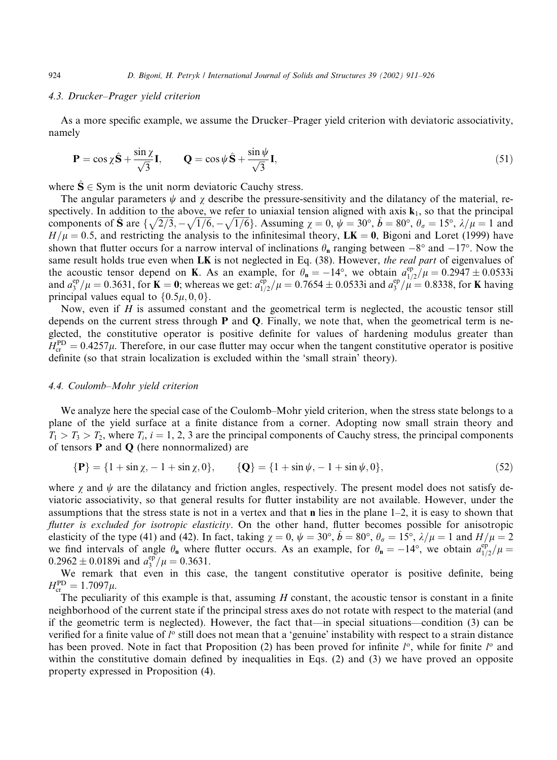# 4.3. Drucker–Prager yield criterion

As a more specific example, we assume the Drucker–Prager yield criterion with deviatoric associativity, namely

$$
\mathbf{P} = \cos\chi\hat{\mathbf{S}} + \frac{\sin\chi}{\sqrt{3}}\mathbf{I}, \qquad \mathbf{Q} = \cos\psi\hat{\mathbf{S}} + \frac{\sin\psi}{\sqrt{3}}\mathbf{I}, \tag{51}
$$

where  $S \in Sym$  is the unit norm deviatoric Cauchy stress.

The angular parameters  $\psi$  and  $\gamma$  describe the pressure-sensitivity and the dilatancy of the material, respectively. In addition to the above, we refer to uniaxial tension aligned with axis  $\mathbf{k}_1$ , so that the principal components of  $\hat{\mathbf{S}}$  are  $\{\sqrt{2/3}, -\sqrt{1/6}, -\sqrt{1/6}\}$ . Assuming  $\chi = 0$ ,  $\psi = 30^{\circ}$ ,  $\hat{b} = 80^{\circ}$ ,  $\theta_{\sigma} = 15^{\circ}$ ,  $\lambda/\mu = 1$  and  $H/\mu = 0.5$ , and restricting the analysis to the infinitesimal theory, LK = 0, Bigoni and Loret (1999) have shown that flutter occurs for a narrow interval of inclinations  $\theta_n$  ranging between  $-8^\circ$  and  $-17^\circ$ . Now the same result holds true even when LK is not neglected in Eq. (38). However, the real part of eigenvalues of the acoustic tensor depend on **K**. As an example, for  $\theta_n = -14^\circ$ , we obtain  $a_{1/2}^{\rm ep}/\mu = 0.2947 \pm 0.0533$ i and  $a_3^{\text{ep}}/\mu = 0.3631$ , for **K** = 0; whereas we get:  $a_{1/2}^{\text{ep}}/\mu = 0.7654 \pm 0.0533i$  and  $a_3^{\text{ep}}/\mu = 0.8338$ , for **K** having principal values equal to  $\{0.5\mu, 0, 0\}.$ 

Now, even if  $H$  is assumed constant and the geometrical term is neglected, the acoustic tensor still depends on the current stress through P and Q. Finally, we note that, when the geometrical term is neglected, the constitutive operator is positive definite for values of hardening modulus greater than  $H_{\text{cr}}^{\text{PD}} = 0.4257\mu$ . Therefore, in our case flutter may occur when the tangent constitutive operator is positive definite (so that strain localization is excluded within the 'small strain' theory).

## 4.4. Coulomb–Mohr yield criterion

We analyze here the special case of the Coulomb–Mohr yield criterion, when the stress state belongs to a plane of the yield surface at a finite distance from a corner. Adopting now small strain theory and  $T_1 > T_3 > T_2$ , where  $T_i$ ,  $i = 1, 2, 3$  are the principal components of Cauchy stress, the principal components of tensors P and Q (here nonnormalized) are

$$
\{P\} = \{1 + \sin \chi, -1 + \sin \chi, 0\}, \qquad \{Q\} = \{1 + \sin \psi, -1 + \sin \psi, 0\}, \tag{52}
$$

where  $\chi$  and  $\psi$  are the dilatancy and friction angles, respectively. The present model does not satisfy deviatoric associativity, so that general results for flutter instability are not available. However, under the assumptions that the stress state is not in a vertex and that n lies in the plane 1–2, it is easy to shown that flutter is excluded for isotropic elasticity. On the other hand, flutter becomes possible for anisotropic elasticity of the type (41) and (42). In fact, taking  $\chi = 0$ ,  $\psi = 30^\circ$ ,  $\hat{b} = 80^\circ$ ,  $\theta_\sigma = 15^\circ$ ,  $\lambda/\mu = 1$  and  $H/\mu = 2$ we find intervals of angle  $\theta_n$  where flutter occurs. As an example, for  $\theta_n = -14^\circ$ , we obtain  $a_{1/2}^{ep}/\mu =$  $0.2962 \pm 0.0189$ i and  $a_3^{\text{ep}}/\mu = 0.3631$ .

We remark that even in this case, the tangent constitutive operator is positive definite, being  $H_{\text{cr}}^{\text{PD}} = 1.7097 \mu.$ 

The peculiarity of this example is that, assuming  $H$  constant, the acoustic tensor is constant in a finite neighborhood of the current state if the principal stress axes do not rotate with respect to the material (and if the geometric term is neglected). However, the fact that––in special situations––condition (3) can be verified for a finite value of  $l^{\circ}$  still does not mean that a 'genuine' instability with respect to a strain distance has been proved. Note in fact that Proposition (2) has been proved for infinite  $l^{\circ}$ , while for finite  $l^{\circ}$  and within the constitutive domain defined by inequalities in Eqs. (2) and (3) we have proved an opposite property expressed in Proposition (4).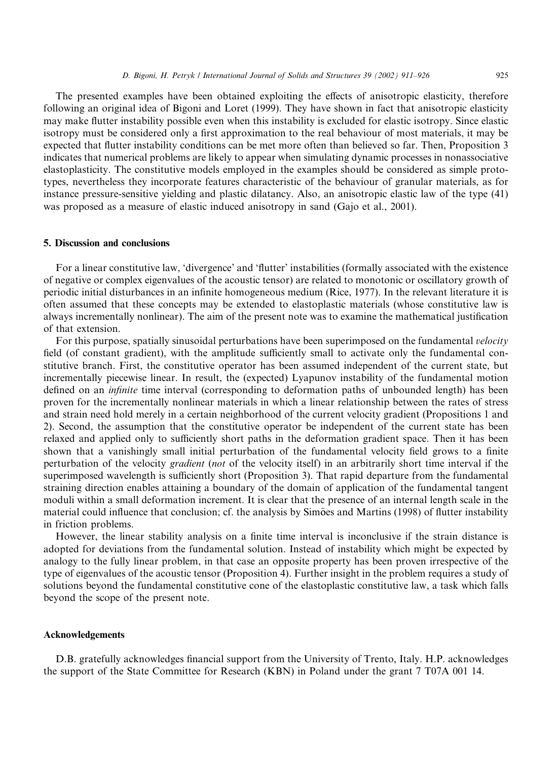The presented examples have been obtained exploiting the effects of anisotropic elasticity, therefore following an original idea of Bigoni and Loret (1999). They have shown in fact that anisotropic elasticity may make flutter instability possible even when this instability is excluded for elastic isotropy. Since elastic isotropy must be considered only a first approximation to the real behaviour of most materials, it may be expected that flutter instability conditions can be met more often than believed so far. Then, Proposition 3 indicates that numerical problems are likely to appear when simulating dynamic processes in nonassociative elastoplasticity. The constitutive models employed in the examples should be considered as simple prototypes, nevertheless they incorporate features characteristic of the behaviour of granular materials, as for instance pressure-sensitive yielding and plastic dilatancy. Also, an anisotropic elastic law of the type (41) was proposed as a measure of elastic induced anisotropy in sand (Gajo et al., 2001).

## 5. Discussion and conclusions

For a linear constitutive law, 'divergence' and 'flutter' instabilities (formally associated with the existence of negative or complex eigenvalues of the acoustic tensor) are related to monotonic or oscillatory growth of periodic initial disturbances in an infinite homogeneous medium (Rice, 1977). In the relevant literature it is often assumed that these concepts may be extended to elastoplastic materials (whose constitutive law is always incrementally nonlinear). The aim of the present note was to examine the mathematical justification of that extension.

For this purpose, spatially sinusoidal perturbations have been superimposed on the fundamental *velocity* field (of constant gradient), with the amplitude sufficiently small to activate only the fundamental constitutive branch. First, the constitutive operator has been assumed independent of the current state, but incrementally piecewise linear. In result, the (expected) Lyapunov instability of the fundamental motion defined on an *infinite* time interval (corresponding to deformation paths of unbounded length) has been proven for the incrementally nonlinear materials in which a linear relationship between the rates of stress and strain need hold merely in a certain neighborhood of the current velocity gradient (Propositions 1 and 2). Second, the assumption that the constitutive operator be independent of the current state has been relaxed and applied only to sufficiently short paths in the deformation gradient space. Then it has been shown that a vanishingly small initial perturbation of the fundamental velocity field grows to a finite perturbation of the velocity gradient (not of the velocity itself) in an arbitrarily short time interval if the superimposed wavelength is sufficiently short (Proposition 3). That rapid departure from the fundamental straining direction enables attaining a boundary of the domain of application of the fundamental tangent moduli within a small deformation increment. It is clear that the presence of an internal length scale in the material could influence that conclusion; cf. the analysis by Simões and Martins (1998) of flutter instability in friction problems.

However, the linear stability analysis on a finite time interval is inconclusive if the strain distance is adopted for deviations from the fundamental solution. Instead of instability which might be expected by analogy to the fully linear problem, in that case an opposite property has been proven irrespective of the type of eigenvalues of the acoustic tensor (Proposition 4). Further insight in the problem requires a study of solutions beyond the fundamental constitutive cone of the elastoplastic constitutive law, a task which falls beyond the scope of the present note.

# Acknowledgements

D.B. gratefully acknowledges financial support from the University of Trento, Italy. H.P. acknowledges the support of the State Committee for Research (KBN) in Poland under the grant 7T07A 001 14.